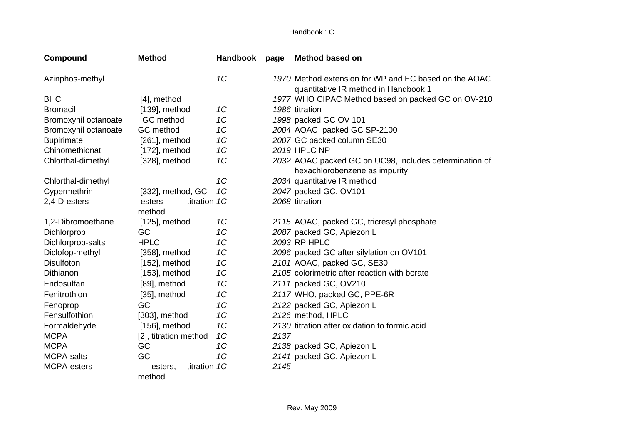## Handbook 1C

| <b>Compound</b>      | <b>Method</b>                     | Handbook | page | <b>Method based on</b>                                                                        |
|----------------------|-----------------------------------|----------|------|-----------------------------------------------------------------------------------------------|
| Azinphos-methyl      |                                   | 1C       |      | 1970 Method extension for WP and EC based on the AOAC<br>quantitative IR method in Handbook 1 |
| <b>BHC</b>           | [4], method                       |          |      | 1977 WHO CIPAC Method based on packed GC on OV-210                                            |
| <b>Bromacil</b>      | $[139]$ , method                  | 1C       |      | 1986 titration                                                                                |
| Bromoxynil octanoate | GC method                         | 1C       |      | 1998 packed GC OV 101                                                                         |
| Bromoxynil octanoate | GC method                         | 1C       |      | 2004 AOAC packed GC SP-2100                                                                   |
| <b>Bupirimate</b>    | $[261]$ , method                  | 1C       |      | 2007 GC packed column SE30                                                                    |
| Chinomethionat       | $[172]$ , method                  | 1C       |      | <b>2019 HPLC NP</b>                                                                           |
| Chlorthal-dimethyl   | $[328]$ , method                  | 1C       |      | 2032 AOAC packed GC on UC98, includes determination of<br>hexachlorobenzene as impurity       |
| Chlorthal-dimethyl   |                                   | 1C       |      | 2034 quantitative IR method                                                                   |
| Cypermethrin         | [332], method, GC                 | 1C       |      | 2047 packed GC, OV101                                                                         |
| 2,4-D-esters         | titration 1C<br>-esters<br>method |          |      | 2068 titration                                                                                |
| 1,2-Dibromoethane    | $[125]$ , method                  | 1C       |      | 2115 AOAC, packed GC, tricresyl phosphate                                                     |
| Dichlorprop          | GC                                | 1C       |      | 2087 packed GC, Apiezon L                                                                     |
| Dichlorprop-salts    | <b>HPLC</b>                       | 1C       |      | 2093 RP HPLC                                                                                  |
| Diclofop-methyl      | $[358]$ , method                  | 1C       |      | 2096 packed GC after silylation on OV101                                                      |
| <b>Disulfoton</b>    | $[152]$ , method                  | 1C       |      | 2101 AOAC, packed GC, SE30                                                                    |
| Dithianon            | $[153]$ , method                  | 1C       |      | 2105 colorimetric after reaction with borate                                                  |
| Endosulfan           | [89], method                      | 1C       |      | 2111 packed GC, OV210                                                                         |
| Fenitrothion         | [35], method                      | 1C       |      | 2117 WHO, packed GC, PPE-6R                                                                   |
| Fenoprop             | GC                                | 1C       |      | 2122 packed GC, Apiezon L                                                                     |
| Fensulfothion        | $[303]$ , method                  | 1C       |      | 2126 method, HPLC                                                                             |
| Formaldehyde         | $[156]$ , method                  | 1C       |      | 2130 titration after oxidation to formic acid                                                 |
| <b>MCPA</b>          | [2], titration method             | 1C       | 2137 |                                                                                               |
| <b>MCPA</b>          | GC                                | 1C       |      | 2138 packed GC, Apiezon L                                                                     |
| <b>MCPA-salts</b>    | GC                                | 1C       |      | 2141 packed GC, Apiezon L                                                                     |
| MCPA-esters          | titration 1C<br>esters,<br>method |          | 2145 |                                                                                               |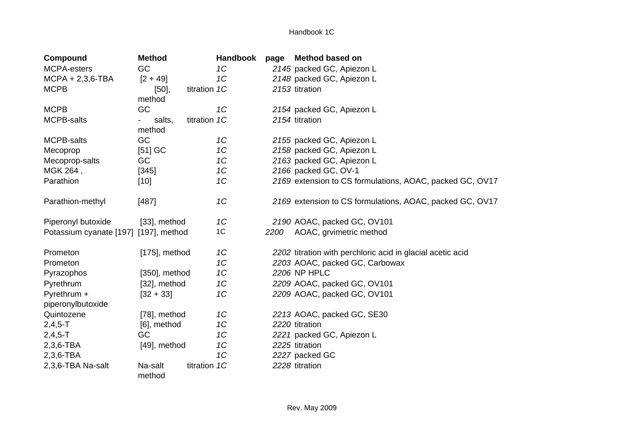| <b>Compound</b>                       | <b>Method</b>          |              | <b>Handbook</b> | page | <b>Method based on</b>                                     |
|---------------------------------------|------------------------|--------------|-----------------|------|------------------------------------------------------------|
| <b>MCPA-esters</b>                    | GC                     |              | 1C              |      | 2145 packed GC, Apiezon L                                  |
| $MCPA + 2,3,6-TBA$                    | $[2 + 49]$             |              | 1C              |      | 2148 packed GC, Apiezon L                                  |
| <b>MCPB</b>                           | [50]                   | titration 1C |                 |      | 2153 titration                                             |
|                                       | method                 |              |                 |      |                                                            |
| <b>MCPB</b>                           | GC                     |              | 1C              |      | 2154 packed GC, Apiezon L                                  |
| MCPB-salts                            | titration 1C<br>salts, |              |                 |      | 2154 titration                                             |
|                                       | method                 |              |                 |      |                                                            |
| <b>MCPB-salts</b>                     | GC                     |              | 1C              |      | 2155 packed GC, Apiezon L                                  |
| Mecoprop                              | $[51]$ GC              |              | 1C              |      | 2158 packed GC, Apiezon L                                  |
| Mecoprop-salts                        | GC                     |              | 1C              |      | 2163 packed GC, Apiezon L                                  |
| MGK 264,                              | $[345]$                |              | 1C              |      | 2166 packed GC, OV-1                                       |
| Parathion                             | $[10]$                 |              | 1C              |      | 2169 extension to CS formulations, AOAC, packed GC, OV17   |
| Parathion-methyl                      | [487]                  |              | 1C              |      | 2169 extension to CS formulations, AOAC, packed GC, OV17   |
| Piperonyl butoxide                    | [33], method           |              | 1C              |      | 2190 AOAC, packed GC, OV101                                |
| Potassium cyanate [197] [197], method |                        |              | 1C              | 2200 | AOAC, grvimetric method                                    |
| Prometon                              | $[175]$ , method       |              | 1C              |      | 2202 titration with perchloric acid in glacial acetic acid |
| Prometon                              |                        |              | 1C              |      | 2203 AOAC, packed GC, Carbowax                             |
| Pyrazophos                            | $[350]$ , method       |              | 1C              |      | 2206 NP HPLC                                               |
| Pyrethrum                             | [32], method           |              | 1C              |      | 2209 AOAC, packed GC, OV101                                |
| Pyrethrum +                           | $[32 + 33]$            |              | 1C              |      | 2209 AOAC, packed GC, OV101                                |
| piperonylbutoxide                     |                        |              |                 |      |                                                            |
| Quintozene                            | [78], method           |              | 1C              |      | 2213 AOAC, packed GC, SE30                                 |
| $2,4,5 - T$                           | [6], method            |              | 1C              |      | 2220 titration                                             |
| $2,4,5-T$                             | GC                     |              | 1C              |      | 2221 packed GC, Apiezon L                                  |
| 2,3,6-TBA                             | [49], method           |              | 1C              |      | 2225 titration                                             |
| $2,3,6$ -TBA                          |                        |              | 1C              |      | 2227 packed GC                                             |
| 2,3,6-TBA Na-salt                     | Na-salt                | titration 1C |                 |      | 2228 titration                                             |
|                                       | method                 |              |                 |      |                                                            |